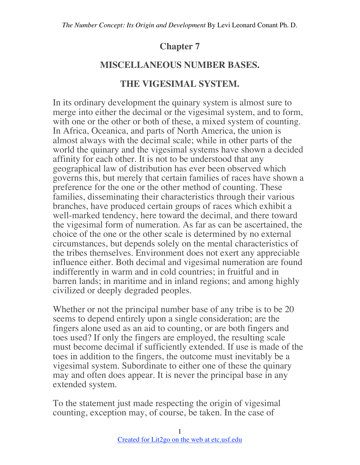# **Chapter 7**

# **MISCELLANEOUS NUMBER BASES.**

## **THE VIGESIMAL SYSTEM.**

In its ordinary development the quinary system is almost sure to merge into either the decimal or the vigesimal system, and to form, with one or the other or both of these, a mixed system of counting. In Africa, Oceanica, and parts of North America, the union is almost always with the decimal scale; while in other parts of the world the quinary and the vigesimal systems have shown a decided affinity for each other. It is not to be understood that any geographical law of distribution has ever been observed which governs this, but merely that certain families of races have shown a preference for the one or the other method of counting. These families, disseminating their characteristics through their various branches, have produced certain groups of races which exhibit a well-marked tendency, here toward the decimal, and there toward the vigesimal form of numeration. As far as can be ascertained, the choice of the one or the other scale is determined by no external circumstances, but depends solely on the mental characteristics of the tribes themselves. Environment does not exert any appreciable influence either. Both decimal and vigesimal numeration are found indifferently in warm and in cold countries; in fruitful and in barren lands; in maritime and in inland regions; and among highly civilized or deeply degraded peoples.

Whether or not the principal number base of any tribe is to be 20 seems to depend entirely upon a single consideration; are the fingers alone used as an aid to counting, or are both fingers and toes used? If only the fingers are employed, the resulting scale must become decimal if sufficiently extended. If use is made of the toes in addition to the fingers, the outcome must inevitably be a vigesimal system. Subordinate to either one of these the quinary may and often does appear. It is never the principal base in any extended system.

To the statement just made respecting the origin of vigesimal counting, exception may, of course, be taken. In the case of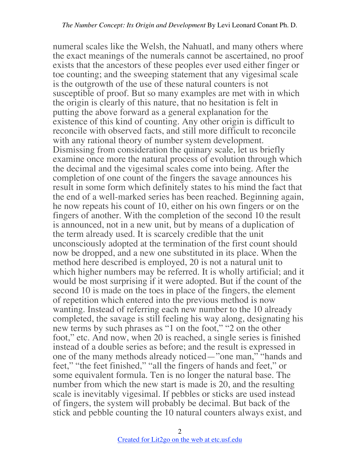numeral scales like the Welsh, the Nahuatl, and many others where the exact meanings of the numerals cannot be ascertained, no proof exists that the ancestors of these peoples ever used either finger or toe counting; and the sweeping statement that any vigesimal scale is the outgrowth of the use of these natural counters is not susceptible of proof. But so many examples are met with in which the origin is clearly of this nature, that no hesitation is felt in putting the above forward as a general explanation for the existence of this kind of counting. Any other origin is difficult to reconcile with observed facts, and still more difficult to reconcile with any rational theory of number system development. Dismissing from consideration the quinary scale, let us briefly examine once more the natural process of evolution through which the decimal and the vigesimal scales come into being. After the completion of one count of the fingers the savage announces his result in some form which definitely states to his mind the fact that the end of a well-marked series has been reached. Beginning again, he now repeats his count of 10, either on his own fingers or on the fingers of another. With the completion of the second 10 the result is announced, not in a new unit, but by means of a duplication of the term already used. It is scarcely credible that the unit unconsciously adopted at the termination of the first count should now be dropped, and a new one substituted in its place. When the method here described is employed, 20 is not a natural unit to which higher numbers may be referred. It is wholly artificial; and it would be most surprising if it were adopted. But if the count of the second 10 is made on the toes in place of the fingers, the element of repetition which entered into the previous method is now wanting. Instead of referring each new number to the 10 already completed, the savage is still feeling his way along, designating his new terms by such phrases as "1 on the foot," "2 on the other foot," etc. And now, when 20 is reached, a single series is finished instead of a double series as before; and the result is expressed in one of the many methods already noticed—"one man," "hands and feet," "the feet finished," "all the fingers of hands and feet," or some equivalent formula. Ten is no longer the natural base. The number from which the new start is made is 20, and the resulting scale is inevitably vigesimal. If pebbles or sticks are used instead of fingers, the system will probably be decimal. But back of the stick and pebble counting the 10 natural counters always exist, and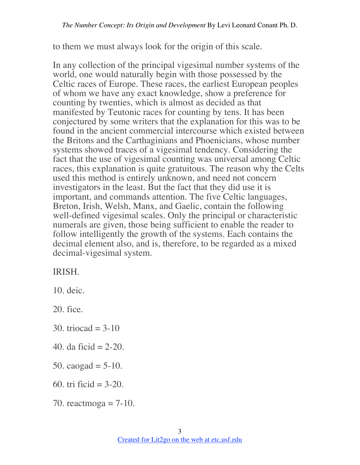to them we must always look for the origin of this scale.

In any collection of the principal vigesimal number systems of the world, one would naturally begin with those possessed by the Celtic races of Europe. These races, the earliest European peoples of whom we have any exact knowledge, show a preference for counting by twenties, which is almost as decided as that manifested by Teutonic races for counting by tens. It has been conjectured by some writers that the explanation for this was to be found in the ancient commercial intercourse which existed between the Britons and the Carthaginians and Phoenicians, whose number systems showed traces of a vigesimal tendency. Considering the fact that the use of vigesimal counting was universal among Celtic races, this explanation is quite gratuitous. The reason why the Celts used this method is entirely unknown, and need not concern investigators in the least. But the fact that they did use it is important, and commands attention. The five Celtic languages, Breton, Irish, Welsh, Manx, and Gaelic, contain the following well-defined vigesimal scales. Only the principal or characteristic numerals are given, those being sufficient to enable the reader to follow intelligently the growth of the systems. Each contains the decimal element also, and is, therefore, to be regarded as a mixed decimal-vigesimal system.

#### IRISH.

10. deic.

20. fice.

- 30. triocad  $=$  3-10
- 40. da ficid = 2-20.
- 50. caogad  $= 5-10$ .
- 60. tri ficid  $= 3-20$ .
- 70. reactmoga  $= 7-10$ .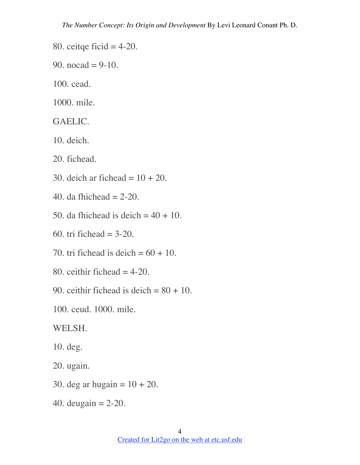- 80. ceitqe ficid  $=$  4-20.
- 90. nocad =  $9-10$ .
- 100. cead.

1000. mile.

#### GAELIC.

- 10. deich.
- 20. fichead.
- 30. deich ar fichead  $= 10 + 20$ .
- 40. da fhichead  $= 2-20$ .
- 50. da fhichead is deich  $= 40 + 10$ .
- 60. tri fichead  $= 3-20$ .
- 70. tri fichead is deich  $= 60 + 10$ .
- 80. ceithir fichead  $=$  4-20.
- 90. ceithir fichead is deich  $= 80 + 10$ .
- 100. ceud. 1000. mile.

#### WELSH.

- 10. deg.
- 20. ugain.
- 30. deg ar hugain  $= 10 + 20$ .
- 40. deugain = 2-20.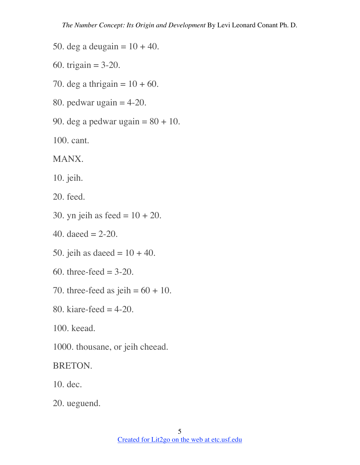- 50. deg a deugain =  $10 + 40$ .
- 60. trigain =  $3-20$ .
- 70. deg a thrigain =  $10 + 60$ .
- 80. pedwar ugain  $=$  4-20.
- 90. deg a pedwar ugain  $= 80 + 10$ .
- 100. cant.

MANX.

10. jeih.

20. feed.

- 30. yn jeih as feed  $= 10 + 20$ .
- 40. daeed  $= 2-20$ .
- 50. jeih as daeed =  $10 + 40$ .
- 60. three-feed  $= 3-20$ .
- 70. three-feed as jeih  $= 60 + 10$ .
- 80. kiare-feed  $=$  4-20.

100. keead.

1000. thousane, or jeih cheead.

BRETON.

10. dec.

20. ueguend.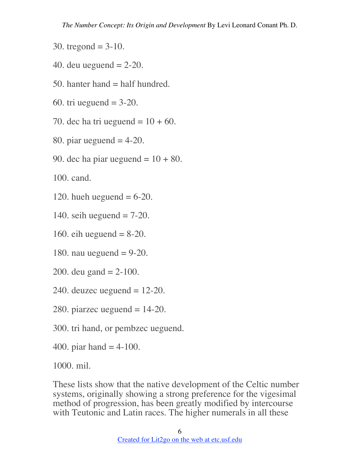- 30. tregond =  $3-10$ .
- 40. deu ueguend  $= 2-20$ .
- 50. hanter hand  $=$  half hundred.
- 60. tri ueguend  $= 3-20$ .
- 70. dec ha tri ueguend =  $10 + 60$ .
- 80. piar ueguend  $=$  4-20.
- 90. dec ha piar ueguend  $= 10 + 80$ .

100. cand.

- 120. hueh ueguend  $= 6-20$ .
- 140. seih ueguend  $= 7-20$ .
- 160. eih ueguend  $= 8-20$ .
- 180. nau ueguend  $= 9-20$ .
- 200. deu gand  $= 2-100$ .
- 240. deuzec ueguend  $= 12-20$ .
- 280. piarzec ueguend  $= 14-20$ .
- 300. tri hand, or pembzec ueguend.
- 400. piar hand  $=$  4-100.

1000. mil.

These lists show that the native development of the Celtic number systems, originally showing a strong preference for the vigesimal method of progression, has been greatly modified by intercourse with Teutonic and Latin races. The higher numerals in all these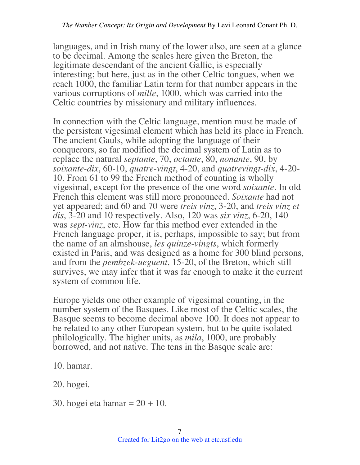languages, and in Irish many of the lower also, are seen at a glance to be decimal. Among the scales here given the Breton, the legitimate descendant of the ancient Gallic, is especially interesting; but here, just as in the other Celtic tongues, when we reach 1000, the familiar Latin term for that number appears in the various corruptions of *mille*, 1000, which was carried into the Celtic countries by missionary and military influences.

In connection with the Celtic language, mention must be made of the persistent vigesimal element which has held its place in French. The ancient Gauls, while adopting the language of their conquerors, so far modified the decimal system of Latin as to replace the natural *septante*, 70, *octante*, 80, *nonante*, 90, by *soixante-dix*, 60-10, *quatre-vingt*, 4-20, and *quatrevingt-dix*, 4-20- 10. From 61 to 99 the French method of counting is wholly vigesimal, except for the presence of the one word *soixante*. In old French this element was still more pronounced. *Soixante* had not yet appeared; and 60 and 70 were *treis vinz*, 3-20, and *treis vinz et dis*, 3-20 and 10 respectively. Also, 120 was *six vinz*, 6-20, 140 was *sept-vinz*, etc. How far this method ever extended in the French language proper, it is, perhaps, impossible to say; but from the name of an almshouse, *les quinze-vingts*, which formerly existed in Paris, and was designed as a home for 300 blind persons, and from the *pembzek-ueguent*, 15-20, of the Breton, which still survives, we may infer that it was far enough to make it the current system of common life.

Europe yields one other example of vigesimal counting, in the number system of the Basques. Like most of the Celtic scales, the Basque seems to become decimal above 100. It does not appear to be related to any other European system, but to be quite isolated philologically. The higher units, as *mila*, 1000, are probably borrowed, and not native. The tens in the Basque scale are:

10. hamar.

20. hogei.

30. hogei eta hamar = 20 + 10.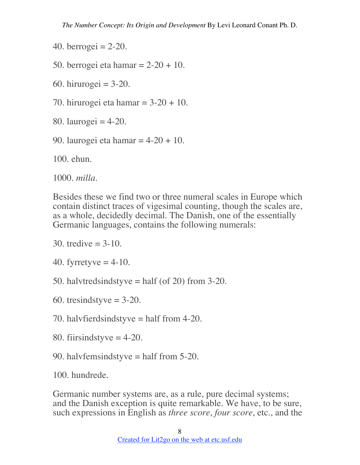- 40. berrogei =  $2-20$ .
- 50. berrogei eta hamar  $= 2-20 + 10$ .
- 60. hirurogei  $= 3-20$ .
- 70. hirurogei eta hamar  $= 3-20 + 10$ .
- 80. laurogei =  $4-20$ .
- 90. laurogei eta hamar  $= 4-20 + 10$ .

100. ehun.

1000. *milla*.

Besides these we find two or three numeral scales in Europe which contain distinct traces of vigesimal counting, though the scales are, as a whole, decidedly decimal. The Danish, one of the essentially Germanic languages, contains the following numerals:

30. tredive  $= 3-10$ .

40. fyrretyve  $=$  4-10.

50. halvtredsindstyve  $=$  half (of 20) from 3-20.

- 60. tresindstyve  $= 3-20$ .
- 70. halvfierdsindstyve = half from 4-20.
- 80. fiirsindstyve  $=$  4-20.
- 90. halvfemsindstyve = half from 5-20.

100. hundrede.

Germanic number systems are, as a rule, pure decimal systems; and the Danish exception is quite remarkable. We have, to be sure, such expressions in English as *three score*, *four score*, etc., and the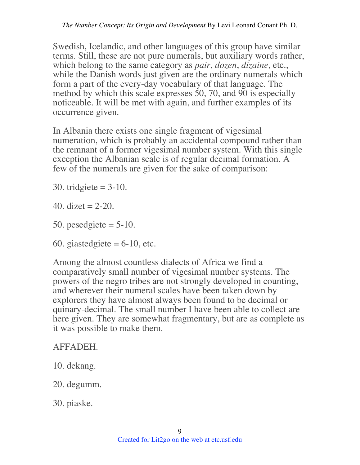Swedish, Icelandic, and other languages of this group have similar terms. Still, these are not pure numerals, but auxiliary words rather, which belong to the same category as *pair*, *dozen*, *dizaine*, etc., while the Danish words just given are the ordinary numerals which form a part of the every-day vocabulary of that language. The method by which this scale expresses 50, 70, and 90 is especially noticeable. It will be met with again, and further examples of its occurrence given.

In Albania there exists one single fragment of vigesimal numeration, which is probably an accidental compound rather than the remnant of a former vigesimal number system. With this single exception the Albanian scale is of regular decimal formation. A few of the numerals are given for the sake of comparison:

30. tridgiete  $= 3-10$ .

40. dizet  $= 2-20$ .

50. pesedgiete  $= 5-10$ .

60. giastedgiete  $= 6-10$ , etc.

Among the almost countless dialects of Africa we find a comparatively small number of vigesimal number systems. The powers of the negro tribes are not strongly developed in counting, and wherever their numeral scales have been taken down by explorers they have almost always been found to be decimal or quinary-decimal. The small number I have been able to collect are here given. They are somewhat fragmentary, but are as complete as it was possible to make them.

## AFFADEH.

- 10. dekang.
- 20. degumm.

30. piaske.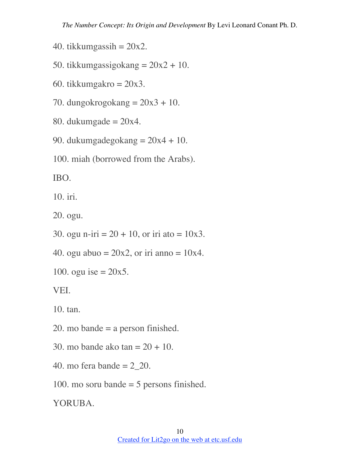- 40. tikkumgassih =  $20x2$ .
- 50. tikkumgassigokang  $= 20x^2 + 10$ .
- 60. tikkumgakro  $= 20x3$ .
- 70. dungokrogokang  $= 20x3 + 10$ .
- 80. dukumgade  $= 20x4$ .
- 90. dukumgadegokang  $= 20x4 + 10$ .
- 100. miah (borrowed from the Arabs).

IBO.

10. iri.

20. ogu.

- 30. ogu n-iri =  $20 + 10$ , or iri ato =  $10x3$ .
- 40. ogu abuo =  $20x2$ , or iri anno =  $10x4$ .
- 100. ogu ise  $= 20x5$ .

VEI.

10. tan.

- 20. mo bande = a person finished.
- 30. mo bande ako tan  $= 20 + 10$ .
- 40. mo fera bande  $= 2$  20.
- 100. mo soru bande = 5 persons finished.

YORUBA.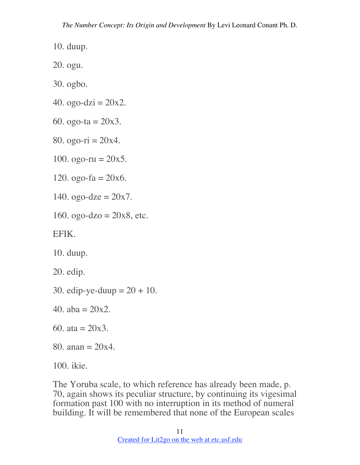10. duup.

20. ogu.

- 30. ogbo.
- 40. ogo-dzi =  $20x2$ .
- 60. ogo-ta =  $20x3$ .
- 80. ogo-ri  $= 20x4$ .
- 100. ogo-ru =  $20x5$ .
- 120. ogo-fa  $= 20x6$ .
- 140. ogo-dze =  $20x7$ .
- 160. ogo-dzo =  $20x8$ , etc.

EFIK.

10. duup.

20. edip.

- 30. edip-ye-duup  $= 20 + 10$ .
- 40.  $aba = 20x2$ .
- 60. ata =  $20x3$ .
- 80. anan  $= 20x4$ .
- 100. ikie.

The Yoruba scale, to which reference has already been made, p. 70, again shows its peculiar structure, by continuing its vigesimal formation past 100 with no interruption in its method of numeral building. It will be remembered that none of the European scales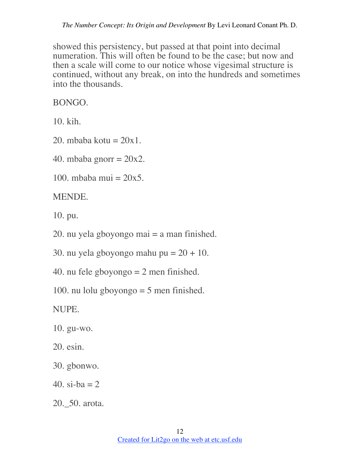showed this persistency, but passed at that point into decimal numeration. This will often be found to be the case; but now and then a scale will come to our notice whose vigesimal structure is continued, without any break, on into the hundreds and sometimes into the thousands.

BONGO.

10. kih.

- 20. mbaba kotu  $= 20x1$ .
- 40. mbaba gnorr  $= 20x2$ .
- 100. mbaba mui  $= 20x5$ .

MENDE.

10. pu.

- 20. nu yela gboyongo mai  $=$  a man finished.
- 30. nu yela gboyongo mahu pu =  $20 + 10$ .
- 40. nu fele gboyongo  $= 2$  men finished.
- 100. nu lolu gboyongo  $=$  5 men finished.

NUPE.

- 10. gu-wo.
- 20. esin.
- 30. gbonwo.
- 40. si-ba  $= 2$
- 20.\_50. arota.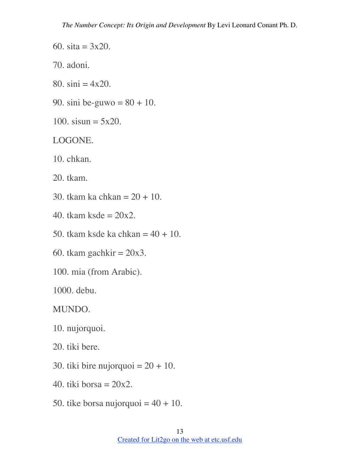60. sita =  $3x20$ .

70. adoni.

- 80.  $\sin i = 4x20$ .
- 90. sini be-guwo =  $80 + 10$ .
- 100. sisun =  $5x20$ .

#### LOGONE.

10. chkan.

20. tkam.

- 30. tkam ka chkan = 20 + 10.
- 40. tkam ksde  $= 20x2$ .
- 50. tkam ksde ka chkan  $= 40 + 10$ .
- 60. tkam gachkir  $= 20x3$ .
- 100. mia (from Arabic).

1000. debu.

MUNDO.

10. nujorquoi.

20. tiki bere.

- 30. tiki bire nujorquoi  $= 20 + 10$ .
- 40. tiki borsa  $= 20x2$ .
- 50. tike borsa nujorquoi  $= 40 + 10$ .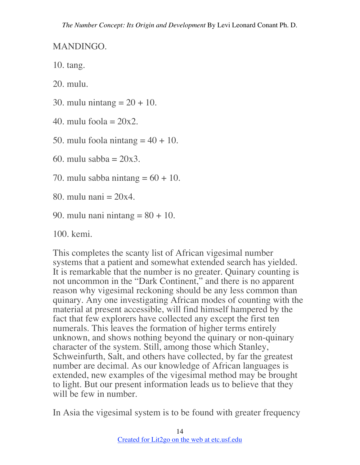MANDINGO.

10. tang.

20. mulu.

30. mulu nintang  $= 20 + 10$ .

40. mulu foola  $= 20x2$ .

50. mulu foola nintang  $=$  40 + 10.

60. mulu sabba  $= 20x3$ .

70. mulu sabba nintang  $= 60 + 10$ .

80. mulu nani  $= 20x4$ .

90. mulu nani nintang  $= 80 + 10$ .

100. kemi.

This completes the scanty list of African vigesimal number systems that a patient and somewhat extended search has yielded. It is remarkable that the number is no greater. Quinary counting is not uncommon in the "Dark Continent," and there is no apparent reason why vigesimal reckoning should be any less common than quinary. Any one investigating African modes of counting with the material at present accessible, will find himself hampered by the fact that few explorers have collected any except the first ten numerals. This leaves the formation of higher terms entirely unknown, and shows nothing beyond the quinary or non-quinary character of the system. Still, among those which Stanley, Schweinfurth, Salt, and others have collected, by far the greatest number are decimal. As our knowledge of African languages is extended, new examples of the vigesimal method may be brought to light. But our present information leads us to believe that they will be few in number.

In Asia the vigesimal system is to be found with greater frequency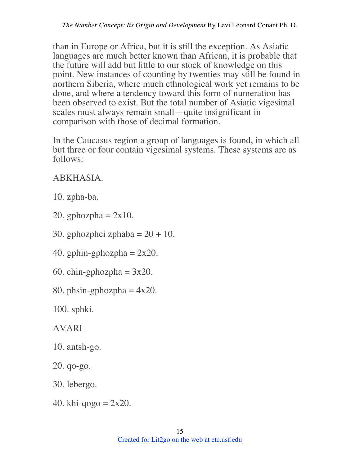than in Europe or Africa, but it is still the exception. As Asiatic languages are much better known than African, it is probable that the future will add but little to our stock of knowledge on this point. New instances of counting by twenties may still be found in northern Siberia, where much ethnological work yet remains to be done, and where a tendency toward this form of numeration has been observed to exist. But the total number of Asiatic vigesimal scales must always remain small—quite insignificant in comparison with those of decimal formation.

In the Caucasus region a group of languages is found, in which all but three or four contain vigesimal systems. These systems are as follows:

# ABKHASIA.

- 10. zpha-ba.
- 20. gphozpha  $= 2x10$ .
- 30. gphozphei zphaba  $= 20 + 10$ .
- 40. gphin-gphozpha  $= 2x20$ .
- 60. chin-gphozpha =  $3x20$ .
- 80. phsin-gphozpha  $= 4x20$ .

100. sphki.

AVARI

- 10. antsh-go.
- 20. qo-go.
- 30. lebergo.
- 40. khi-qogo  $= 2x20$ .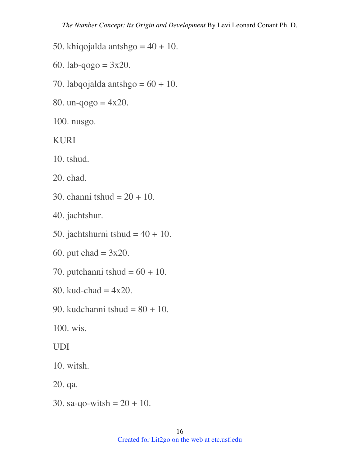- 50. khiqojalda antshgo  $= 40 + 10$ .
- 60. lab-qogo =  $3x20$ .
- 70. labqojalda antshgo  $= 60 + 10$ .
- 80. un-qogo  $= 4x20$ .
- 100. nusgo.

KURI

10. tshud.

20. chad.

30. channi tshud =  $20 + 10$ .

40. jachtshur.

50. jachtshurni tshud  $= 40 + 10$ .

60. put  $chad = 3x20$ .

- 70. putchanni tshud  $= 60 + 10$ .
- 80. kud-chad  $= 4x20$ .
- 90. kudchanni tshud = 80 + 10.

100. wis.

UDI

10. witsh.

20. qa.

30. sa-qo-witsh =  $20 + 10$ .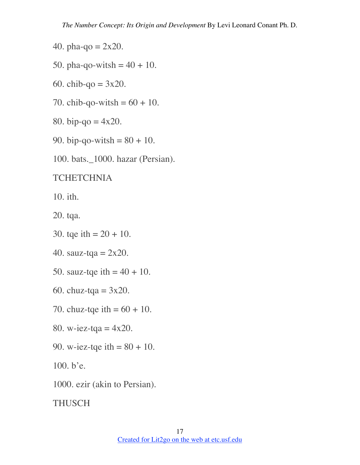- 40. pha-qo =  $2x20$ .
- 50. pha-qo-witsh =  $40 + 10$ .
- 60. chib-qo =  $3x20$ .
- 70. chib-qo-witsh =  $60 + 10$ .
- 80. bip-qo =  $4x20$ .
- 90. bip-qo-witsh =  $80 + 10$ .
- 100. bats.\_1000. hazar (Persian).

#### **TCHETCHNIA**

10. ith.

20. tqa.

- 30. tqe ith =  $20 + 10$ .
- 40. sauz-tqa = 2x20.
- 50. sauz-tqe ith  $= 40 + 10$ .
- 60. chuz-tqa =  $3x20$ .
- 70. chuz-tqe ith  $= 60 + 10$ .
- 80. w-iez-tqa =  $4x20$ .
- 90. w-iez-tqe ith  $= 80 + 10$ .

100. b'e.

1000. ezir (akin to Persian).

THUSCH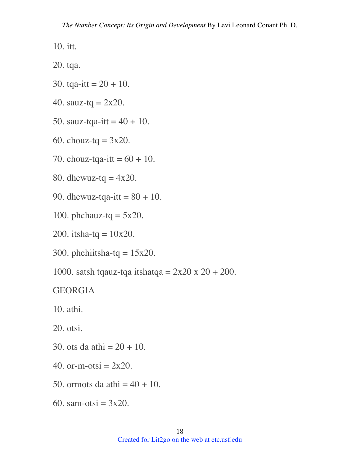10. itt.

20. tqa.

- 30. tqa-itt =  $20 + 10$ .
- 40. sauz-tq =  $2x20$ .
- 50. sauz-tqa-itt  $= 40 + 10$ .
- 60. chouz-tq =  $3x20$ .
- 70. chouz-tqa-itt =  $60 + 10$ .
- 80. dhewuz-tq  $= 4x20$ .
- 90. dhewuz-tqa-itt =  $80 + 10$ .
- 100. phchauz-tq  $= 5x20$ .
- 200. itsha-tq =  $10x20$ .
- 300. phehiitsha-tq =  $15x20$ .
- 1000. satsh tqauz-tqa itshatqa =  $2x20 \times 20 + 200$ .

#### GEORGIA

10. athi.

20. otsi.

- 30. ots da athi =  $20 + 10$ .
- 40. or-m-otsi  $= 2x20$ .
- 50. ormots da athi  $=$  40 + 10.
- 60. sam-otsi =  $3x20$ .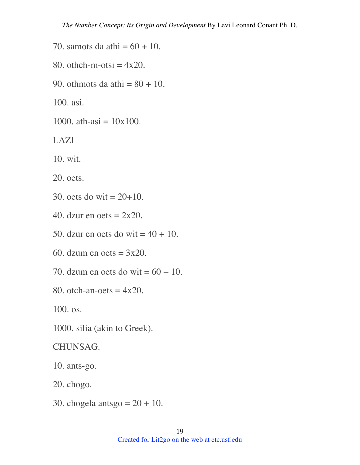- 70. samots da athi  $= 60 + 10$ .
- 80. othch-m-otsi  $= 4x20$ .
- 90. othmots da athi  $= 80 + 10$ .

100. asi.

1000. ath-asi  $= 10x100$ .

LAZI

10. wit.

20. oets.

- 30. oets do wit =  $20+10$ .
- 40. dzur en oets  $= 2x20$ .
- 50. dzur en oets do wit  $= 40 + 10$ .
- 60. dzum en oets  $= 3x20$ .
- 70. dzum en oets do wit  $= 60 + 10$ .
- 80. otch-an-oets  $= 4x20$ .

100. os.

1000. silia (akin to Greek).

CHUNSAG.

10. ants-go.

- 20. chogo.
- 30. chogela antsgo  $= 20 + 10$ .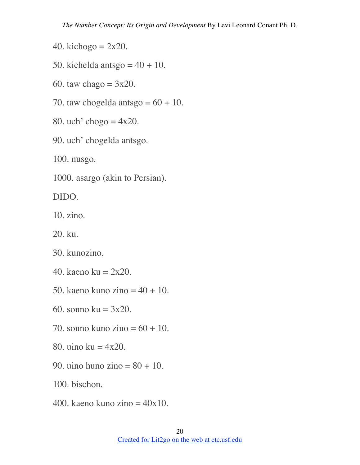- 40. kichogo =  $2x20$ .
- 50. kichelda antsgo  $= 40 + 10$ .
- 60. taw chago  $= 3x20$ .
- 70. taw chogelda antsgo  $= 60 + 10$ .
- 80. uch' chogo  $= 4x20$ .
- 90. uch' chogelda antsgo.

100. nusgo.

1000. asargo (akin to Persian).

DIDO.

10. zino.

20. ku.

30. kunozino.

- 40. kaeno ku =  $2x20$ .
- 50. kaeno kuno zino  $= 40 + 10$ .
- 60. sonno ku = 3x20.
- 70. sonno kuno zino  $= 60 + 10$ .
- 80. uino ku = 4x20.
- 90. uino huno zino  $= 80 + 10$ .

100. bischon.

400. kaeno kuno zino  $= 40x10$ .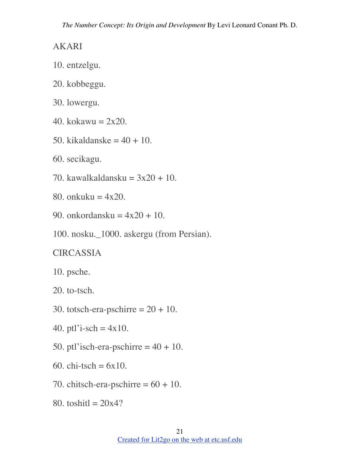#### AKARI

- 10. entzelgu.
- 20. kobbeggu.
- 30. lowergu.
- 40. kokawu =  $2x20$ .
- 50. kikaldanske  $=$  40 + 10.
- 60. secikagu.
- 70. kawalkaldansku =  $3x20 + 10$ .
- 80. onkuku =  $4x20$ .
- 90. onkordansku =  $4x20 + 10$ .
- 100. nosku.\_1000. askergu (from Persian).

## **CIRCASSIA**

- 10. psche.
- 20. to-tsch.
- 30. totsch-era-pschirre  $= 20 + 10$ .
- 40. ptl'i-sch =  $4x10$ .
- 50. ptl'isch-era-pschirre  $= 40 + 10$ .
- 60. chi-tsch  $= 6x10$ .
- 70. chitsch-era-pschirre  $= 60 + 10$ .
- 80. toshit $1 = 20x4$ ?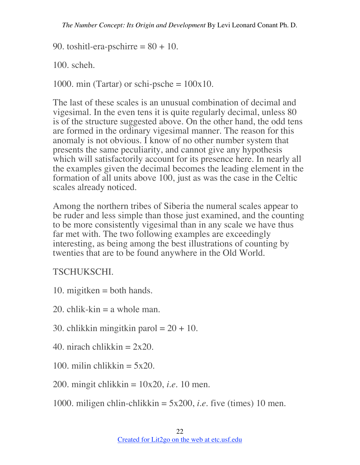90. toshitl-era-pschirre  $= 80 + 10$ .

100. scheh.

1000. min (Tartar) or schi-psche =  $100x10$ .

The last of these scales is an unusual combination of decimal and vigesimal. In the even tens it is quite regularly decimal, unless 80 is of the structure suggested above. On the other hand, the odd tens are formed in the ordinary vigesimal manner. The reason for this anomaly is not obvious. I know of no other number system that presents the same peculiarity, and cannot give any hypothesis which will satisfactorily account for its presence here. In nearly all the examples given the decimal becomes the leading element in the formation of all units above 100, just as was the case in the Celtic scales already noticed.

Among the northern tribes of Siberia the numeral scales appear to be ruder and less simple than those just examined, and the counting to be more consistently vigesimal than in any scale we have thus far met with. The two following examples are exceedingly interesting, as being among the best illustrations of counting by twenties that are to be found anywhere in the Old World.

TSCHUKSCHI.

- 10. migitken  $=$  both hands.
- 20. chlik-kin  $=$  a whole man.
- 30. chlikkin mingitkin parol  $= 20 + 10$ .
- 40. nirach chlikkin  $= 2x20$ .
- 100. milin chlikkin  $= 5x20$ .

200. mingit chlikkin = 10x20, *i.e.* 10 men.

1000. miligen chlin-chlikkin = 5x200, *i.e.* five (times) 10 men.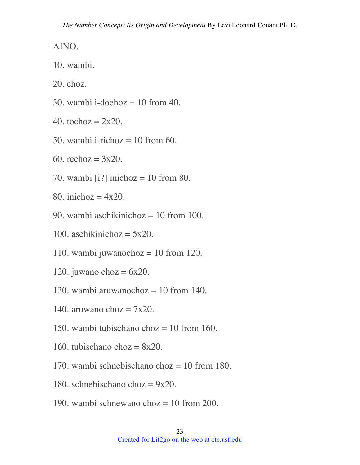AINO.

10. wambi.

20. choz.

- 30. wambi i-doehoz = 10 from 40.
- 40. tochoz =  $2x20$ .
- 50. wambi i-richoz  $= 10$  from 60.
- 60. rechoz =  $3x20$ .
- 70. wambi [i?] inichoz = 10 from 80.
- 80. inichoz  $= 4x20$ .
- 90. wambi aschikinichoz  $= 10$  from 100.
- 100. aschikinichoz =  $5x20$ .
- 110. wambi juwanochoz = 10 from 120.
- 120. juwano choz =  $6x20$ .
- 130. wambi aruwanochoz  $= 10$  from 140.
- 140. aruwano choz  $= 7x20$ .
- 150. wambi tubischano choz  $= 10$  from 160.
- 160. tubischano choz  $= 8x20$ .
- 170. wambi schnebischano choz  $= 10$  from 180.
- 180. schnebischano choz =  $9x20$ .
- 190. wambi schnewano choz = 10 from 200.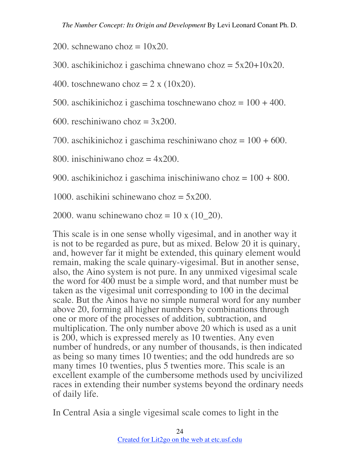200. schnewano choz  $= 10x20$ .

300. aschikinichoz i gaschima chnewano choz = 5x20+10x20.

400. toschnewano choz =  $2 \times (10x20)$ .

500. aschikinichoz i gaschima toschnewano choz = 100 + 400.

600. reschiniwano choz  $= 3x200$ .

700. aschikinichoz i gaschima reschiniwano choz =  $100 + 600$ .

800. inischiniwano choz  $= 4x200$ .

900. aschikinichoz i gaschima inischiniwano choz  $= 100 + 800$ .

1000. aschikini schinewano choz = 5x200.

2000. wanu schinewano choz = 10 x (10\_20).

This scale is in one sense wholly vigesimal, and in another way it is not to be regarded as pure, but as mixed. Below 20 it is quinary, and, however far it might be extended, this quinary element would remain, making the scale quinary-vigesimal. But in another sense, also, the Aino system is not pure. In any unmixed vigesimal scale the word for 400 must be a simple word, and that number must be taken as the vigesimal unit corresponding to 100 in the decimal scale. But the Ainos have no simple numeral word for any number above 20, forming all higher numbers by combinations through one or more of the processes of addition, subtraction, and multiplication. The only number above 20 which is used as a unit is 200, which is expressed merely as 10 twenties. Any even number of hundreds, or any number of thousands, is then indicated as being so many times 10 twenties; and the odd hundreds are so many times 10 twenties, plus 5 twenties more. This scale is an excellent example of the cumbersome methods used by uncivilized races in extending their number systems beyond the ordinary needs of daily life.

In Central Asia a single vigesimal scale comes to light in the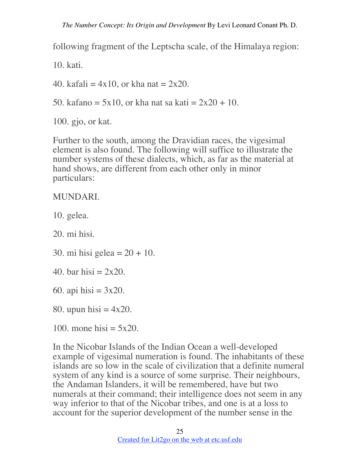following fragment of the Leptscha scale, of the Himalaya region:

10. kati.

40. kafali =  $4x10$ , or kha nat =  $2x20$ .

50. kafano = 5x10, or kha nat sa kati =  $2x20 + 10$ .

100. gjo, or kat.

Further to the south, among the Dravidian races, the vigesimal element is also found. The following will suffice to illustrate the number systems of these dialects, which, as far as the material at hand shows, are different from each other only in minor particulars:

MUNDARI.

10. gelea.

20. mi hisi.

30. mi hisi gelea =  $20 + 10$ .

40. bar hisi  $= 2x20$ .

60. api hisi  $= 3x20$ .

80. upun hisi  $= 4x20$ .

100. mone hisi  $= 5x20$ .

In the Nicobar Islands of the Indian Ocean a well-developed example of vigesimal numeration is found. The inhabitants of these islands are so low in the scale of civilization that a definite numeral system of any kind is a source of some surprise. Their neighbours, the Andaman Islanders, it will be remembered, have but two numerals at their command; their intelligence does not seem in any way inferior to that of the Nicobar tribes, and one is at a loss to account for the superior development of the number sense in the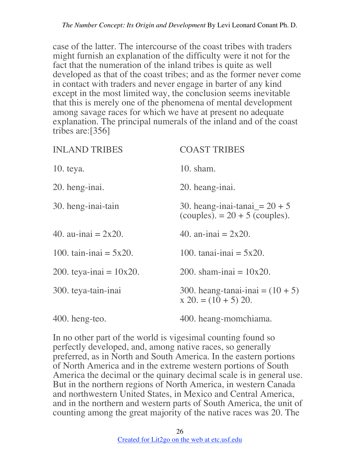case of the latter. The intercourse of the coast tribes with traders might furnish an explanation of the difficulty were it not for the fact that the numeration of the inland tribes is quite as well developed as that of the coast tribes; and as the former never come in contact with traders and never engage in barter of any kind except in the most limited way, the conclusion seems inevitable that this is merely one of the phenomena of mental development among savage races for which we have at present no adequate explanation. The principal numerals of the inland and of the coast tribes are:[356]

| <b>INLAND TRIBES</b>       | <b>COAST TRIBES</b>                                                 |
|----------------------------|---------------------------------------------------------------------|
| $10.$ teya.                | $10.$ sham.                                                         |
| 20. heng-inai.             | 20. heang-inai.                                                     |
| 30. heng-inai-tain         | 30. heang-inai-tanai $= 20 + 5$<br>(couples). $= 20 + 5$ (couples). |
| 40. au-inai $= 2x20$ .     | 40. an-inai $= 2x20$ .                                              |
| 100. tain-inai $= 5x20$ .  | 100. tanai-inai = $5x20$ .                                          |
| 200. teya-inai = $10x20$ . | 200. sham-inai = $10x20$ .                                          |
| 300. teya-tain-inai        | 300. heang-tanai-inai = $(10 + 5)$<br>$x 20 = (10 + 5) 20.$         |
| $400.$ heng-teo.           | 400. heang-momchiama.                                               |

In no other part of the world is vigesimal counting found so perfectly developed, and, among native races, so generally preferred, as in North and South America. In the eastern portions of North America and in the extreme western portions of South America the decimal or the quinary decimal scale is in general use. But in the northern regions of North America, in western Canada and northwestern United States, in Mexico and Central America, and in the northern and western parts of South America, the unit of counting among the great majority of the native races was 20. The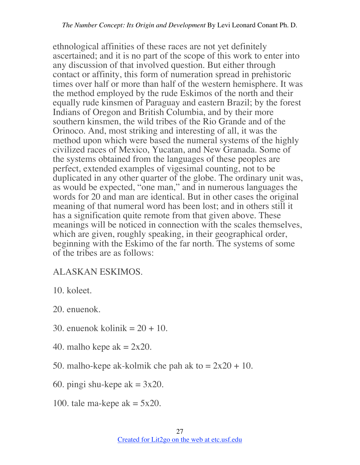ethnological affinities of these races are not yet definitely ascertained; and it is no part of the scope of this work to enter into any discussion of that involved question. But either through contact or affinity, this form of numeration spread in prehistoric times over half or more than half of the western hemisphere. It was the method employed by the rude Eskimos of the north and their equally rude kinsmen of Paraguay and eastern Brazil; by the forest Indians of Oregon and British Columbia, and by their more southern kinsmen, the wild tribes of the Rio Grande and of the Orinoco. And, most striking and interesting of all, it was the method upon which were based the numeral systems of the highly civilized races of Mexico, Yucatan, and New Granada. Some of the systems obtained from the languages of these peoples are perfect, extended examples of vigesimal counting, not to be duplicated in any other quarter of the globe. The ordinary unit was, as would be expected, "one man," and in numerous languages the words for 20 and man are identical. But in other cases the original meaning of that numeral word has been lost; and in others still it has a signification quite remote from that given above. These meanings will be noticed in connection with the scales themselves, which are given, roughly speaking, in their geographical order, beginning with the Eskimo of the far north. The systems of some of the tribes are as follows:

#### ALASKAN ESKIMOS.

10. koleet.

20. enuenok.

- 30. enuenok kolinik  $= 20 + 10$ .
- 40. malho kepe ak  $= 2x20$ .
- 50. malho-kepe ak-kolmik che pah ak to  $= 2x20 + 10$ .
- 60. pingi shu-kepe ak  $= 3x20$ .
- 100. tale ma-kepe ak  $= 5x20$ .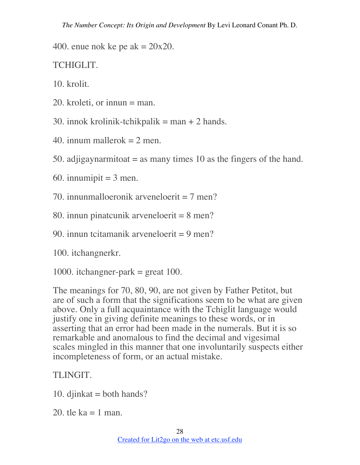400. enue nok ke pe ak  $= 20x20$ .

TCHIGLIT.

10. krolit.

- 20. kroleti, or innun = man.
- 30. innok krolinik-tchikpalik  $=$  man  $+$  2 hands.
- 40. innum mallero $k = 2$  men.
- 50. adjigaynarmitoat  $=$  as many times 10 as the fingers of the hand.
- 60. innumipit  $=$  3 men.
- 70. innunmalloeronik arveneloerit  $= 7$  men?
- 80. innun pinatcunik arveneloerit = 8 men?
- 90. innun tcitamanik arveneloerit  $= 9$  men?

100. itchangnerkr.

1000. itchangner-park  $=$  great 100.

The meanings for 70, 80, 90, are not given by Father Petitot, but are of such a form that the significations seem to be what are given above. Only a full acquaintance with the Tchiglit language would justify one in giving definite meanings to these words, or in asserting that an error had been made in the numerals. But it is so remarkable and anomalous to find the decimal and vigesimal scales mingled in this manner that one involuntarily suspects either incompleteness of form, or an actual mistake.

## TLINGIT.

- 10. djinkat  $=$  both hands?
- 20. tle ka  $= 1$  man.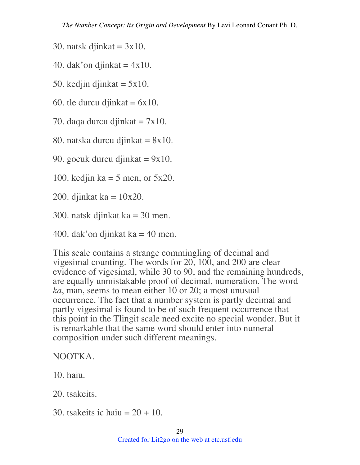- 30. natsk djinkat  $= 3x10$ .
- 40. dak'on djinkat  $= 4x10$ .
- 50. kedjin djinkat  $= 5x10$ .
- 60. tle durcu djinkat  $= 6x10$ .
- 70. daqa durcu djinkat  $= 7x10$ .
- 80. natska durcu djinkat  $= 8x10$ .
- 90. gocuk durcu djinkat  $= 9x10$ .
- 100. kedjin ka  $=$  5 men, or 5x20.
- 200. djinkat ka  $= 10x20$ .
- 300. natsk djinkat ka = 30 men.
- 400. dak'on djinkat ka  $=$  40 men.

This scale contains a strange commingling of decimal and vigesimal counting. The words for 20, 100, and 200 are clear evidence of vigesimal, while 30 to 90, and the remaining hundreds, are equally unmistakable proof of decimal, numeration. The word *ka*, man, seems to mean either 10 or 20; a most unusual occurrence. The fact that a number system is partly decimal and partly vigesimal is found to be of such frequent occurrence that this point in the Tlingit scale need excite no special wonder. But it is remarkable that the same word should enter into numeral composition under such different meanings.

#### NOOTKA.

- 10. haiu.
- 20. tsakeits.
- 30. tsakeits ic haiu  $= 20 + 10$ .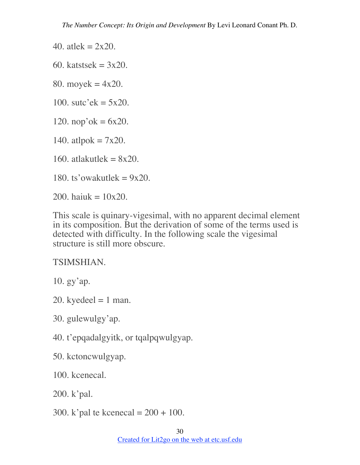40. atlek =  $2x20$ .

60. katstsek  $= 3x20$ .

80. moyek =  $4x20$ .

100. sutc'ek =  $5x20$ .

120. nop'ok =  $6x20$ .

140. atlpok  $= 7x20$ .

160. atlakutlek  $= 8x20$ .

180. ts'owakutlek =  $9x20$ .

200. haiuk =  $10x20$ .

This scale is quinary-vigesimal, with no apparent decimal element in its composition. But the derivation of some of the terms used is detected with difficulty. In the following scale the vigesimal structure is still more obscure.

TSIMSHIAN.

10. gy'ap.

- 20. kyedeel  $= 1$  man.
- 30. gulewulgy'ap.

40. t'epqadalgyitk, or tqalpqwulgyap.

50. kctoncwulgyap.

100. kcenecal.

200. k'pal.

300. k'pal te kcenecal =  $200 + 100$ .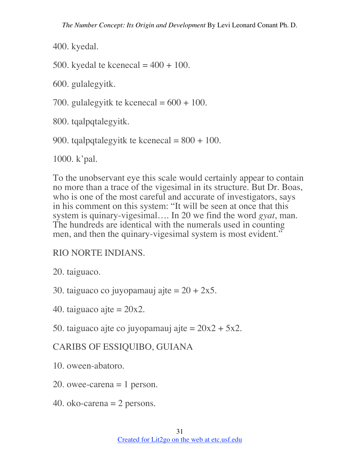400. kyedal.

500. kyedal te kcenecal  $= 400 + 100$ .

600. gulalegyitk.

700. gulalegyitk te kcenecal =  $600 + 100$ .

800. tqalpqtalegyitk.

900. tqalpqtalegyitk te kcenecal  $= 800 + 100$ .

1000. k'pal.

To the unobservant eye this scale would certainly appear to contain no more than a trace of the vigesimal in its structure. But Dr. Boas, who is one of the most careful and accurate of investigators, says in his comment on this system: "It will be seen at once that this system is quinary-vigesimal…. In 20 we find the word *gyat*, man. The hundreds are identical with the numerals used in counting men, and then the quinary-vigesimal system is most evident."

## RIO NORTE INDIANS.

20. taiguaco.

30. taiguaco co juyopamauj ajte  $= 20 + 2x5$ .

40. taiguaco ajte  $= 20x2$ .

50. taiguaco ajte co juyopamauj ajte =  $20x^2 + 5x^2$ .

## CARIBS OF ESSIQUIBO, GUIANA

10. oween-abatoro.

- 20. owee-carena  $= 1$  person.
- 40. oko-carena = 2 persons.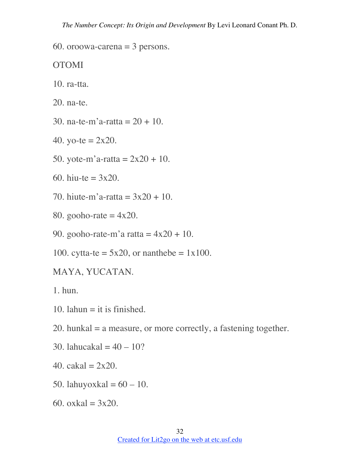60. oroowa-carena  $=$  3 persons.

OTOMI

- 10. ra-tta.
- 20. na-te.
- 30. na-te-m'a-ratta = 20 + 10.
- 40. yo-te =  $2x20$ .
- 50. yote-m'a-ratta =  $2x20 + 10$ .
- 60. hiu-te =  $3x20$ .
- 70. hiute-m'a-ratta =  $3x20 + 10$ .
- 80. gooho-rate  $= 4x20$ .
- 90. gooho-rate-m'a ratta =  $4x20 + 10$ .
- 100. cytta-te =  $5x20$ , or nanthebe =  $1x100$ .
- MAYA, YUCATAN.

1. hun.

- 10. lahun  $=$  it is finished.
- 20. hunkal = a measure, or more correctly, a fastening together.
- 30. lahucakal =  $40 10$ ?
- 40. cakal =  $2x20$ .
- 50. lahuyoxkal =  $60 10$ .
- 60. oxkal =  $3x20$ .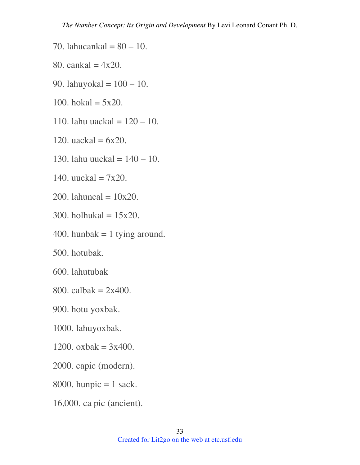- 70. lahucankal =  $80 10$ .
- 80. cankal =  $4x20$ .
- 90. lahuyokal =  $100 10$ .
- 100. hokal =  $5x20$ .
- 110. lahu uackal =  $120 10$ .
- 120. uackal =  $6x20$ .
- 130. lahu uuckal  $= 140 10$ .
- 140. uuckal  $= 7x20$ .
- 200. lahuncal =  $10x20$ .
- 300. holhukal =  $15x20$ .
- 400. hunbak  $= 1$  tying around.
- 500. hotubak.
- 600. lahutubak
- 800. calbak =  $2x400$ .
- 900. hotu yoxbak.
- 1000. lahuyoxbak.
- 1200. oxbak =  $3x400$ .
- 2000. capic (modern).
- 8000. hunpic  $= 1$  sack.
- 16,000. ca pic (ancient).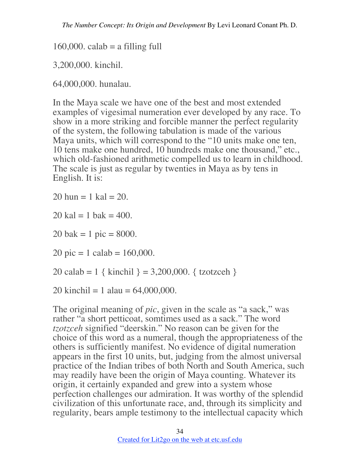$160,000$ . calab = a filling full

3,200,000. kinchil.

64,000,000. hunalau.

In the Maya scale we have one of the best and most extended examples of vigesimal numeration ever developed by any race. To show in a more striking and forcible manner the perfect regularity of the system, the following tabulation is made of the various Maya units, which will correspond to the "10 units make one ten, 10 tens make one hundred, 10 hundreds make one thousand," etc., which old-fashioned arithmetic compelled us to learn in childhood. The scale is just as regular by twenties in Maya as by tens in English. It is:

20 hun  $= 1$  kal  $= 20$ .

 $20$  kal = 1 bak = 400.

20 bak = 1 pic =  $8000$ .

20 pic = 1 calab =  $160,000$ .

20 calab = 1 { kinchil } = 3,200,000. { tzotzceh }

20 kinchil = 1 alau =  $64,000,000$ .

The original meaning of *pic*, given in the scale as "a sack," was rather "a short petticoat, somtimes used as a sack." The word *tzotzceh* signified "deerskin." No reason can be given for the choice of this word as a numeral, though the appropriateness of the others is sufficiently manifest. No evidence of digital numeration appears in the first 10 units, but, judging from the almost universal practice of the Indian tribes of both North and South America, such may readily have been the origin of Maya counting. Whatever its origin, it certainly expanded and grew into a system whose perfection challenges our admiration. It was worthy of the splendid civilization of this unfortunate race, and, through its simplicity and regularity, bears ample testimony to the intellectual capacity which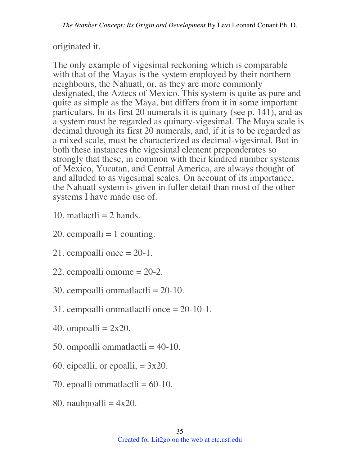originated it.

The only example of vigesimal reckoning which is comparable with that of the Mayas is the system employed by their northern neighbours, the Nahuatl, or, as they are more commonly designated, the Aztecs of Mexico. This system is quite as pure and quite as simple as the Maya, but differs from it in some important particulars. In its first 20 numerals it is quinary (see p. 141), and as a system must be regarded as quinary-vigesimal. The Maya scale is decimal through its first 20 numerals, and, if it is to be regarded as a mixed scale, must be characterized as decimal-vigesimal. But in both these instances the vigesimal element preponderates so strongly that these, in common with their kindred number systems of Mexico, Yucatan, and Central America, are always thought of and alluded to as vigesimal scales. On account of its importance, the Nahuatl system is given in fuller detail than most of the other systems I have made use of.

- 10. matlactli  $= 2$  hands.
- 20. cempoalli  $= 1$  counting.
- 21. cempoalli once  $= 20-1$ .
- 22. cempoalli omome = 20-2.
- 30. cempoalli ommatlactli = 20-10.
- 31. cempoalli ommatlactli once = 20-10-1.
- 40. ompoalli  $= 2x20$ .
- 50. ompoalli ommatlactli = 40-10.
- 60. eipoalli, or epoalli,  $= 3x20$ .
- 70. epoalli ommatlactli  $= 60-10$ .
- 80. nauhpoalli  $= 4x20$ .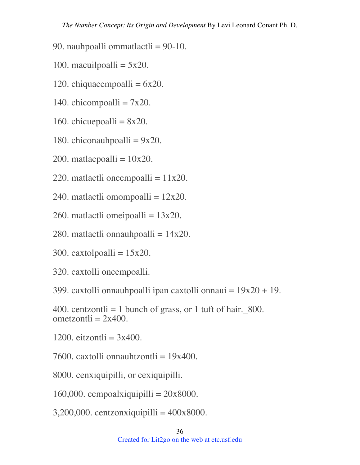90. nauhpoalli ommatlactli = 90-10.

- 100. macuilpoalli  $= 5x20$ .
- 120. chiquacempoalli  $= 6x20$ .
- 140. chicompoalli  $= 7x20$ .
- 160. chicue poalli =  $8x20$ .
- 180. chiconauhpoalli  $= 9x20$ .
- 200. matlacpoalli =  $10x20$ .
- 220. matlactli oncempoalli  $= 11x20$ .
- 240. matlactli omompoalli  $= 12x20$ .
- 260. matlactli omeipoalli  $= 13x20$ .
- 280. matlactli onnauhpoalli  $= 14x20$ .
- 300. caxtolpoalli  $= 15x20$ .
- 320. caxtolli oncempoalli.

399. caxtolli onnauhpoalli ipan caxtolli onnaui  $= 19x20 + 19$ .

400. centzontli  $= 1$  bunch of grass, or 1 tuft of hair. 800. ometzontli  $= 2x400$ .

1200. eitzontli  $= 3x400$ .

7600. caxtolli onnauhtzontli =  $19x400$ .

8000. cenxiquipilli, or cexiquipilli.

160,000. cempoalxiquipilli =  $20x8000$ .

 $3,200,000$ . centzonxiquipilli =  $400x8000$ .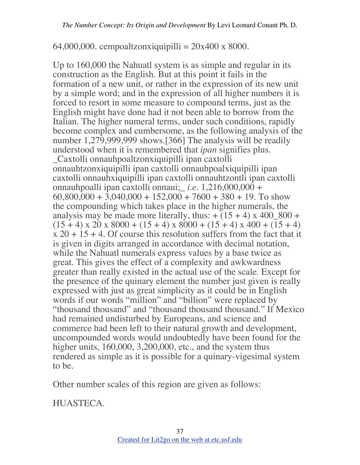64,000,000. cempoaltzonxiquipilli =  $20x400x8000$ .

Up to 160,000 the Nahuatl system is as simple and regular in its construction as the English. But at this point it fails in the formation of a new unit, or rather in the expression of its new unit by a simple word; and in the expression of all higher numbers it is forced to resort in some measure to compound terms, just as the English might have done had it not been able to borrow from the Italian. The higher numeral terms, under such conditions, rapidly become complex and cumbersome, as the following analysis of the number 1,279,999,999 shows.[366] The analysis will be readily understood when it is remembered that *ipan* signifies plus. \_Caxtolli onnauhpoaltzonxiquipilli ipan caxtolli onnauhtzonxiquipilli ipan caxtolli onnauhpoalxiquipilli ipan caxtolli onnauhxiquipilli ipan caxtolli onnauhtzontli ipan caxtolli onnauhpoalli ipan caxtolli onnaui;\_ *i.e.* 1,216,000,000 +  $60,800,000 + 3,040,000 + 152,000 + 7600 + 380 + 19$ . To show the compounding which takes place in the higher numerals, the analysis may be made more literally, thus:  $+(15 + 4) \times 400\,800 +$  $(15 + 4) \times 20 \times 8000 + (15 + 4) \times 8000 + (15 + 4) \times 400 + (15 + 4)$  $x\,20 + 15 + 4$ . Of course this resolution suffers from the fact that it is given in digits arranged in accordance with decimal notation, while the Nahuatl numerals express values by a base twice as great. This gives the effect of a complexity and awkwardness greater than really existed in the actual use of the scale. Except for the presence of the quinary element the number just given is really expressed with just as great simplicity as it could be in English words if our words "million" and "billion" were replaced by "thousand thousand" and "thousand thousand thousand." If Mexico had remained undisturbed by Europeans, and science and commerce had been left to their natural growth and development, uncompounded words would undoubtedly have been found for the higher units, 160,000, 3,200,000, etc., and the system thus rendered as simple as it is possible for a quinary-vigesimal system to be.

Other number scales of this region are given as follows:

HUASTECA.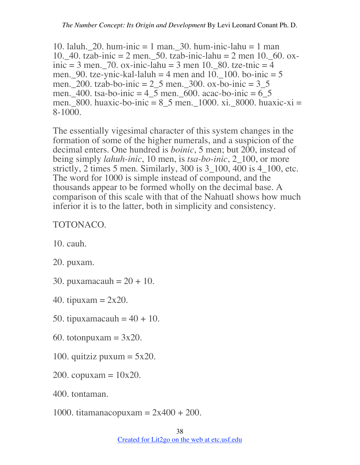10. laluh. 20. hum-inic = 1 man. 30. hum-inic-lahu = 1 man 10. 40. tzab-inic = 2 men. 50. tzab-inic-lahu = 2 men 10. 60. oxinic = 3 men.  $70.$  ox-inic-lahu = 3 men 10. 80. tze-tnic = 4 men. 90. tze-ynic-kal-laluh  $=$  4 men and 10. 100. bo-inic  $=$  5 men. 200. tzab-bo-inic = 2\_5 men. 300. ox-bo-inic = 3\_5 men. 400. tsa-bo-inic = 4\_5 men. 600. acac-bo-inic = 6\_5 men. 800. huaxic-bo-inic =  $8\_5$  men. 1000. xi. 8000. huaxic-xi = 8-1000.

The essentially vigesimal character of this system changes in the formation of some of the higher numerals, and a suspicion of the decimal enters. One hundred is *boinic*, 5 men; but 200, instead of being simply *lahuh-inic*, 10 men, is *tsa-bo-inic*, 2\_100, or more strictly, 2 times 5 men. Similarly, 300 is 3  $100$ , 400 is 4  $100$ , etc. The word for 1000 is simple instead of compound, and the thousands appear to be formed wholly on the decimal base. A comparison of this scale with that of the Nahuatl shows how much inferior it is to the latter, both in simplicity and consistency.

#### TOTONACO.

10. cauh.

20. puxam.

30. puxamacauh =  $20 + 10$ .

40. tipuxam  $= 2x20$ .

- 50. tipuxamacauh  $= 40 + 10$ .
- 60. totonpuxam  $= 3x20$ .
- 100. quitziz puxum  $= 5x20$ .
- 200. copuxam  $= 10x20$ .

400. tontaman.

1000. titamanacopuxam =  $2x400 + 200$ .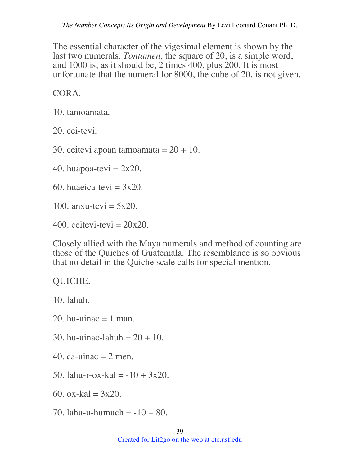The essential character of the vigesimal element is shown by the last two numerals. *Tontamen*, the square of 20, is a simple word, and 1000 is, as it should be, 2 times 400, plus 200. It is most unfortunate that the numeral for 8000, the cube of 20, is not given.

CORA.

10. tamoamata.

20. cei-tevi.

30. ceitevi apoan tamoamata =  $20 + 10$ .

40. huapoa-tevi =  $2x20$ .

60. huaeica-tevi  $= 3x20$ .

100. anxu-tevi  $= 5x20$ .

 $400.$  ceitevi-tevi =  $20x20.$ 

Closely allied with the Maya numerals and method of counting are those of the Quiches of Guatemala. The resemblance is so obvious that no detail in the Quiche scale calls for special mention.

## QUICHE.

10. lahuh.

- 20. hu-uinac  $= 1$  man.
- 30. hu-uinac-lahuh = 20 + 10.
- 40. ca-uinac  $= 2$  men.
- 50. lahu-r-ox-kal =  $-10 + 3x20$ .
- 60. ox-kal  $= 3x20$ .
- 70. lahu-u-humuch  $= -10 + 80$ .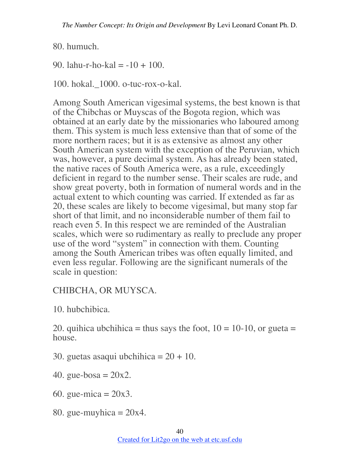80. humuch.

90. lahu-r-ho-kal = -10 + 100.

100. hokal.\_1000. o-tuc-rox-o-kal.

Among South American vigesimal systems, the best known is that of the Chibchas or Muyscas of the Bogota region, which was obtained at an early date by the missionaries who laboured among them. This system is much less extensive than that of some of the more northern races; but it is as extensive as almost any other South American system with the exception of the Peruvian, which was, however, a pure decimal system. As has already been stated, the native races of South America were, as a rule, exceedingly deficient in regard to the number sense. Their scales are rude, and show great poverty, both in formation of numeral words and in the actual extent to which counting was carried. If extended as far as 20, these scales are likely to become vigesimal, but many stop far short of that limit, and no inconsiderable number of them fail to reach even 5. In this respect we are reminded of the Australian scales, which were so rudimentary as really to preclude any proper use of the word "system" in connection with them. Counting among the South American tribes was often equally limited, and even less regular. Following are the significant numerals of the scale in question:

## CHIBCHA, OR MUYSCA.

10. hubchibica.

20. quihica ubchihica = thus says the foot,  $10 = 10-10$ , or gueta = house.

30. guetas asaqui ubchihica  $= 20 + 10$ .

- 40. gue-bosa =  $20x2$ .
- 60. gue-mica =  $20x3$ .
- 80. gue-muyhica  $= 20x4$ .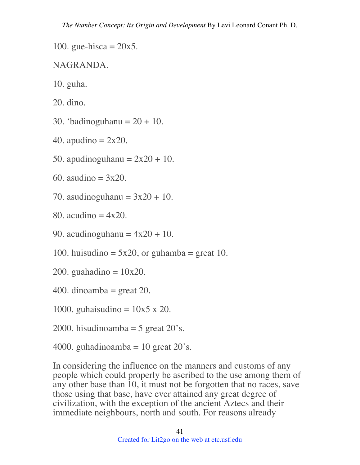100. gue-hisca  $= 20x5$ .

#### NAGRANDA.

- 10. guha.
- 20. dino.
- 30. 'badinoguhanu  $= 20 + 10$ .
- 40. apudino  $= 2x20$ .
- 50. apudinoguhanu  $= 2x20 + 10$ .
- 60. asudino  $= 3x20$ .
- 70. asudinoguhanu  $= 3x20 + 10$ .
- 80. acudino  $= 4x20$ .
- 90. acudinoguhanu  $= 4x20 + 10$ .
- 100. huisudino =  $5x20$ , or guhamba = great 10.
- 200. guahadino  $= 10x20$ .
- 400. dinoamba = great 20.
- 1000. guhaisudino  $= 10x5 \times 20$ .
- 2000. hisudinoamba = 5 great  $20$ 's.
- 4000. guhadinoamba = 10 great  $20$ 's.

In considering the influence on the manners and customs of any people which could properly be ascribed to the use among them of any other base than 10, it must not be forgotten that no races, save those using that base, have ever attained any great degree of civilization, with the exception of the ancient Aztecs and their immediate neighbours, north and south. For reasons already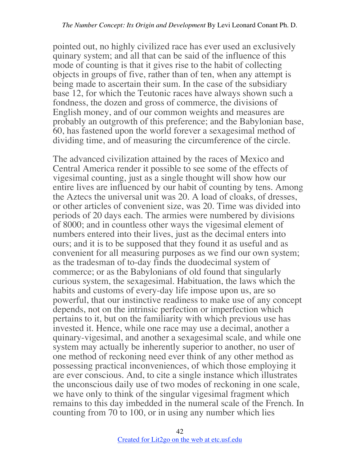pointed out, no highly civilized race has ever used an exclusively quinary system; and all that can be said of the influence of this mode of counting is that it gives rise to the habit of collecting objects in groups of five, rather than of ten, when any attempt is being made to ascertain their sum. In the case of the subsidiary base 12, for which the Teutonic races have always shown such a fondness, the dozen and gross of commerce, the divisions of English money, and of our common weights and measures are probably an outgrowth of this preference; and the Babylonian base, 60, has fastened upon the world forever a sexagesimal method of dividing time, and of measuring the circumference of the circle.

The advanced civilization attained by the races of Mexico and Central America render it possible to see some of the effects of vigesimal counting, just as a single thought will show how our entire lives are influenced by our habit of counting by tens. Among the Aztecs the universal unit was 20. A load of cloaks, of dresses, or other articles of convenient size, was 20. Time was divided into periods of 20 days each. The armies were numbered by divisions of 8000; and in countless other ways the vigesimal element of numbers entered into their lives, just as the decimal enters into ours; and it is to be supposed that they found it as useful and as convenient for all measuring purposes as we find our own system; as the tradesman of to-day finds the duodecimal system of commerce; or as the Babylonians of old found that singularly curious system, the sexagesimal. Habituation, the laws which the habits and customs of every-day life impose upon us, are so powerful, that our instinctive readiness to make use of any concept depends, not on the intrinsic perfection or imperfection which pertains to it, but on the familiarity with which previous use has invested it. Hence, while one race may use a decimal, another a quinary-vigesimal, and another a sexagesimal scale, and while one system may actually be inherently superior to another, no user of one method of reckoning need ever think of any other method as possessing practical inconveniences, of which those employing it are ever conscious. And, to cite a single instance which illustrates the unconscious daily use of two modes of reckoning in one scale, we have only to think of the singular vigesimal fragment which remains to this day imbedded in the numeral scale of the French. In counting from 70 to 100, or in using any number which lies